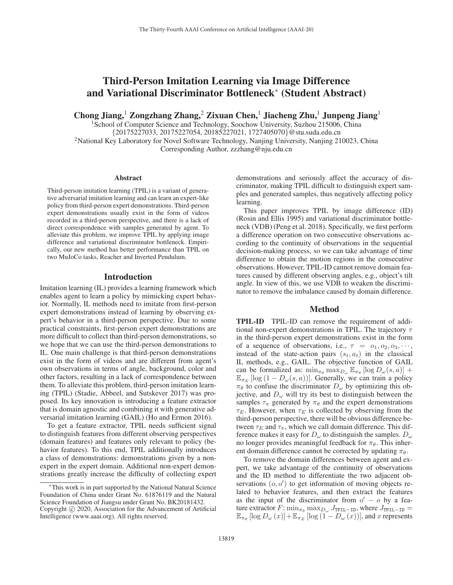# Third-Person Imitation Learning via Image Difference and Variational Discriminator Bottleneck<sup>∗</sup> (Student Abstract)

Chong Jiang,<sup>1</sup> Zongzhang Zhang,<sup>2</sup> Zixuan Chen,<sup>1</sup> Jiacheng Zhu,<sup>1</sup> Junpeng Jiang<sup>1</sup>

<sup>1</sup>School of Computer Science and Technology, Soochow University, Suzhou 215006, China {20175227033, 20175227054, 20185227021, 1727405070}@stu.suda.edu.cn 2National Key Laboratory for Novel Software Technology, Nanjing University, Nanjing 210023, China Corresponding Author, zzzhang@nju.edu.cn

#### **Abstract**

Third-person imitation learning (TPIL) is a variant of generative adversarial imitation learning and can learn an expert-like policy from third-person expert demonstrations. Third-person expert demonstrations usually exist in the form of videos recorded in a third-person perspective, and there is a lack of direct correspondence with samples generated by agent. To alleviate this problem, we improve TPIL by applying image difference and variational discriminator bottleneck. Empirically, our new method has better performance than TPIL on two MuJoCo tasks, Reacher and Inverted Pendulum.

## Introduction

Imitation learning (IL) provides a learning framework which enables agent to learn a policy by mimicking expert behavior. Normally, IL methods need to imitate from first-person expert demonstrations instead of learning by observing expert's behavior in a third-person perspective. Due to some practical constraints, first-person expert demonstrations are more difficult to collect than third-person demonstrations, so we hope that we can use the third-person demonstrations to IL. One main challenge is that third-person demonstrations exist in the form of videos and are different from agent's own observations in terms of angle, background, color and other factors, resulting in a lack of correspondence between them. To alleviate this problem, third-person imitation learning (TPIL) (Stadie, Abbeel, and Sutskever 2017) was proposed. Its key innovation is introducing a feature extractor that is domain agnostic and combining it with generative adversarial imitation learning (GAIL) (Ho and Ermon 2016).

To get a feature extractor, TPIL needs sufficient signal to distinguish features from different observing perspectives (domain features) and features only relevant to policy (behavior features). To this end, TPIL additionally introduces a class of demonstrations: demonstrations given by a nonexpert in the expert domain. Additional non-expert demonstrations greatly increase the difficulty of collecting expert

demonstrations and seriously affect the accuracy of discriminator, making TPIL difficult to distinguish expert samples and generated samples, thus negatively affecting policy learning.

This paper improves TPIL by image difference (ID) (Rosin and Ellis 1995) and variational discriminator bottleneck (VDB) (Peng et al. 2018). Specifically, we first perform a difference operation on two consecutive observations according to the continuity of observations in the sequential decision-making process, so we can take advantage of time difference to obtain the motion regions in the consecutive observations. However, TPIL-ID cannot remove domain features caused by different observing angles, e.g., object's tilt angle. In view of this, we use VDB to weaken the discriminator to remove the imbalance caused by domain difference.

## Method

TPIL-ID TPIL-ID can remove the requirement of additional non-expert demonstrations in TPIL. The trajectory  $\tau$ in the third-person expert demonstrations exist in the form of a sequence of observations, i.e.,  $\tau = o_1, o_2, o_3, \cdots$ , instead of the state-action pairs  $(s_t, a_t)$  in the classical IL methods, e.g., GAIL. The objective function of GAIL can be formalized as:  $\min_{\pi_{\theta}} \max_{D_{\omega}} \mathbb{E}_{\pi_{\theta}} [\log D_{\omega}(s, a)]$  +  $\mathbb{E}_{\pi_E} [\log (1 - D_{\omega}(s, a))]$ . Generally, we can train a policy  $\pi_{\theta}$  to confuse the discriminator  $D_{\omega}$  by optimizing this objective, and  $D_{\omega}$  will try its best to distinguish between the samples  $\tau_{\pi}$  generated by  $\pi_{\theta}$  and the expert demonstrations  $\tau_E$ . However, when  $\tau_E$  is collected by observing from the third-person perspective, there will be obvious difference between  $\tau_E$  and  $\tau_\pi$ , which we call domain difference. This difference makes it easy for  $D_{\omega}$  to distinguish the samples.  $D_{\omega}$ no longer provides meaningful feedback for  $\pi_{\theta}$ . This inherent domain difference cannot be corrected by updating  $\pi_{\theta}$ .

To remove the domain differences between agent and expert, we take advantage of the continuity of observations and the ID method to differentiate the two adjacent observations  $(o, o')$  to get information of moving objects re-<br>lated to behavior features, and then extract the features lated to behavior features, and then extract the features as the input of the discriminator from  $o' - o$  by a feature extractor F:  $\min_{\pi_{\theta}} \max_{D_{\omega}} J_{\text{TPIL-ID}}$ , where  $J_{\text{TPIL-ID}}$  =  $\mathbb{E}_{\pi_{\theta}}\left[\log D_{\omega}\left(x\right)\right]+\mathbb{E}_{\pi_{E}}\left[\log\left(1-D_{\omega}\left(x\right)\right)\right]$ , and x represents

This work is in part supported by the National Natural Science Foundation of China under Grant No. 61876119 and the Natural Science Foundation of Jiangsu under Grant No. BK20181432. Copyright  $\odot$  2020, Association for the Advancement of Artificial Intelligence (www.aaai.org). All rights reserved.